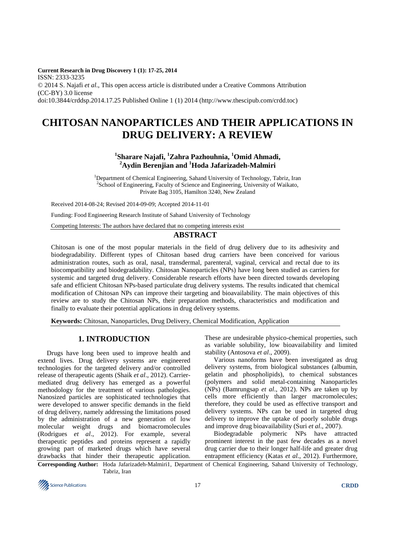**Current Research in Drug Discovery 1 (1): 17-25, 2014**  ISSN: 2333-3235 © 2014 S. Najafi *et al*., This open access article is distributed under a Creative Commons Attribution (CC-BY) 3.0 license doi:10.3844/crddsp.2014.17.25 Published Online 1 (1) 2014 (http://www.thescipub.com/crdd.toc)

# **CHITOSAN NANOPARTICLES AND THEIR APPLICATIONS IN DRUG DELIVERY: A REVIEW**

## **1 Sharare Najafi, <sup>1</sup>Zahra Pazhouhnia, <sup>1</sup>Omid Ahmadi, <sup>2</sup>Aydin Berenjian and <sup>1</sup>Hoda Jafarizadeh-Malmiri**

<sup>1</sup>Department of Chemical Engineering, Sahand University of Technology, Tabriz, Iran <sup>2</sup>School of Engineering, Faculty of Science and Engineering, University of Waikato, Private Bag 3105, Hamilton 3240, New Zealand

Received 2014-08-24; Revised 2014-09-09; Accepted 2014-11-01

Funding: Food Engineering Research Institute of Sahand University of Technology

Competing Interests: The authors have declared that no competing interests exist

## **ABSTRACT**

Chitosan is one of the most popular materials in the field of drug delivery due to its adhesivity and biodegradability. Different types of Chitosan based drug carriers have been conceived for various administration routes, such as oral, nasal, transdermal, parenteral, vaginal, cervical and rectal due to its biocompatibility and biodegradability. Chitosan Nanoparticles (NPs) have long been studied as carriers for systemic and targeted drug delivery. Considerable research efforts have been directed towards developing safe and efficient Chitosan NPs-based particulate drug delivery systems. The results indicated that chemical modification of Chitosan NPs can improve their targeting and bioavailability. The main objectives of this review are to study the Chitosan NPs, their preparation methods, characteristics and modification and finally to evaluate their potential applications in drug delivery systems.

**Keywords:** Chitosan, Nanoparticles, Drug Delivery, Chemical Modification, Application

## **1. INTRODUCTION**

Drugs have long been used to improve health and extend lives. Drug delivery systems are engineered technologies for the targeted delivery and/or controlled release of therapeutic agents (Shaik *et al*., 2012). Carriermediated drug delivery has emerged as a powerful methodology for the treatment of various pathologies. Nanosized particles are sophisticated technologies that were developed to answer specific demands in the field of drug delivery, namely addressing the limitations posed by the administration of a new generation of low molecular weight drugs and biomacromolecules (Rodrigues *et al*., 2012). For example, several therapeutic peptides and proteins represent a rapidly growing part of marketed drugs which have several drawbacks that hinder their therapeutic application.

These are undesirable physico-chemical properties, such as variable solubility, low bioavailability and limited stability (Antosova *et al*., 2009).

Various nanoforms have been investigated as drug delivery systems, from biological substances (albumin, gelatin and phospholipids), to chemical substances (polymers and solid metal-containing Nanoparticles (NPs) (Bamrungsap *et al*., 2012). NPs are taken up by cells more efficiently than larger macromolecules; therefore, they could be used as effective transport and delivery systems. NPs can be used in targeted drug delivery to improve the uptake of poorly soluble drugs and improve drug bioavailability (Suri *et al*., 2007).

Biodegradable polymeric NPs have attracted prominent interest in the past few decades as a novel drug carrier due to their longer half-life and greater drug entrapment efficiency (Katas *et al*., 2012). Furthermore,

**Corresponding Author:** Hoda Jafarizadeh-Malmiri1, Department of Chemical Engineering, Sahand University of Technology, Tabriz, Iran

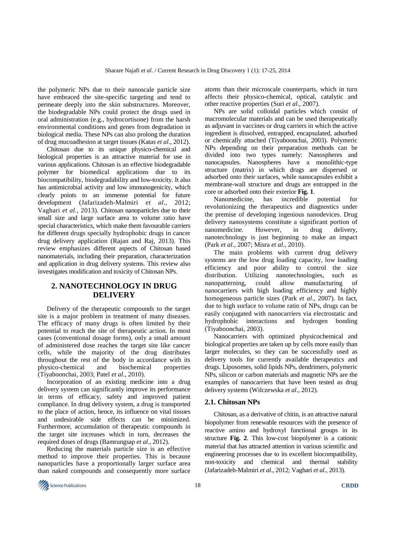the polymeric NPs due to their nanoscale particle size have embraced the site-specific targeting and tend to permeate deeply into the skin substructures. Moreover, the biodegradable NPs could protect the drugs used in oral administration (e.g., hydrocortisone) from the harsh environmental conditions and genes from degradation in biological media. These NPs can also prolong the duration of drug mucoadhesion at target tissues (Katas *et al*., 2012).

Chitosan due to its unique physico-chemical and biological properties is an attractive material for use in various applications. Chitosan is an effective biodegradable polymer for biomedical applications due to its biocompatibility, biodegradability and low-toxicity. It also has antimicrobial activity and low immunogenicity, which clearly points to an immense potential for future development (Jafarizadeh-Malmiri *et al*., 2012; Vaghari *et al*., 2013). Chitosan nanoparticles due to their small size and large surface area to volume ratio have special characteristics, which make them favourable carriers for different drugs specially hydrophobic drugs in cancer drug delivery application (Rajan and Raj, 2013). This review emphasizes different aspects of Chitosan based nanomaterials, including their preparation, characterization and application in drug delivery systems. This review also investigates modification and toxicity of Chitosan NPs.

#### **2. NANOTECHNOLOGY IN DRUG DELIVERY**

Delivery of the therapeutic compounds to the target site is a major problem in treatment of many diseases. The efficacy of many drugs is often limited by their potential to reach the site of therapeutic action. In most cases (conventional dosage forms), only a small amount of administered dose reaches the target site like cancer cells, while the majority of the drug distributes throughout the rest of the body in accordance with its physico-chemical and biochemical properties (Tiyaboonchai, 2003; Patel *et al*., 2010).

Incorporation of an existing medicine into a drug delivery system can significantly improve its performance in terms of efficacy, safety and improved patient compliance. In drug delivery system, a drug is transported to the place of action, hence, its influence on vital tissues and undesirable side effects can be minimized. Furthermore, accumulation of therapeutic compounds in the target site increases which in turn, decreases the required doses of drugs (Bamrungsap *et al*., 2012).

Reducing the materials particle size is an effective method to improve their properties. This is because nanoparticles have a proportionally larger surface area than naked compounds and consequently more surface atoms than their microscale counterparts, which in turn affects their physico-chemical, optical, catalytic and other reactive properties (Suri *et al*., 2007).

NPs are solid colloidal particles which consist of macromolecular materials and can be used therapeutically as adjuvant in vaccines or drug carriers in which the active ingredient is dissolved, entrapped, encapsulated, adsorbed or chemically attached (Tiyaboonchai, 2003). Polymeric NPs depending on their preparation methods can be divided into two types namely: Nanospheres and nanocapsules. Nanospheres have a monolithic-type structure (matrix) in which drugs are dispersed or adsorbed onto their surfaces, while nanocapsules exhibit a membrane-wall structure and drugs are entrapped in the core or adsorbed onto their exterior **Fig. 1**.

Nanomedicine, has incredible potential for revolutionizing the therapeutics and diagnostics under the premise of developing ingenious nanodevices. Drug delivery nanosystems constitute a significant portion of nanomedicine. However, in drug delivery, nanotechnology is just beginning to make an impact (Park *et al*., 2007; Misra *et al*., 2010).

The main problems with current drug delivery systems are the low drug loading capacity, low loading efficiency and poor ability to control the size distribution. Utilizing nanotechnologies, such as nanopatterning, could allow manufacturing of nanocarriers with high loading efficiency and highly homogeneous particle sizes (Park *et al*., 2007). In fact, due to high surface to volume ratio of NPs, drugs can be easily conjugated with nanocarriers via electrostatic and hydrophobic interactions and hydrogen bonding (Tiyaboonchai, 2003).

Nanocarriers with optimized physicochemical and biological properties are taken up by cells more easily than larger molecules, so they can be successfully used as delivery tools for currently available therapeutics and drugs. Liposomes, solid lipids NPs, dendrimers, polymeric NPs, silicon or carbon materials and magnetic NPs are the examples of nanocarriers that have been tested as drug delivery systems (Wilczewska *et al*., 2012).

#### **2.1. Chitosan NPs**

Chitosan, as a derivative of chitin, is an attractive natural biopolymer from renewable resources with the presence of reactive amino and hydroxyl functional groups in its structure **Fig. 2**. This low-cost biopolymer is a cationic material that has attracted attention in various scientific and engineering processes due to its excellent biocompatibility, non-toxicity and chemical and thermal stability (Jafarizadeh-Malmiri *et al*., 2012; Vaghari *et al*., 2013).

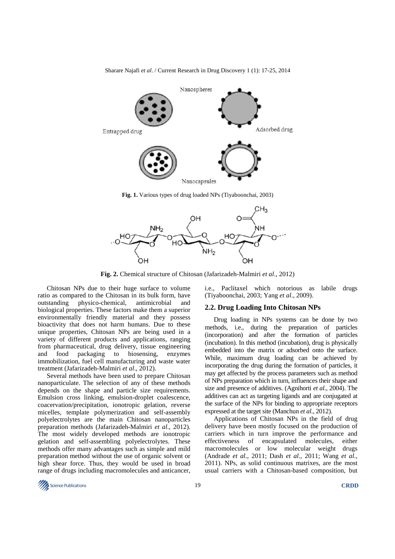

Sharare Najafi *et al*. / Current Research in Drug Discovery 1 (1): 17-25, 2014

**Fig. 2.** Chemical structure of Chitosan (Jafarizadeh-Malmiri *et al*., 2012)

Chitosan NPs due to their huge surface to volume ratio as compared to the Chitosan in its bulk form, have outstanding physico-chemical, antimicrobial and biological properties. These factors make them a superior environmentally friendly material and they possess bioactivity that does not harm humans. Due to these unique properties, Chitosan NPs are being used in a variety of different products and applications, ranging from pharmaceutical, drug delivery, tissue engineering and food packaging to biosensing, enzymes immobilization, fuel cell manufacturing and waste water treatment (Jafarizadeh-Malmiri *et al*., 2012).

Several methods have been used to prepare Chitosan nanoparticulate. The selection of any of these methods depends on the shape and particle size requirements. Emulsion cross linking, emulsion-droplet coalescence, coacervation/precipitation, ionotropic gelation, reverse micelles, template polymerization and self-assembly polyelectrolytes are the main Chitosan nanoparticles preparation methods (Jafarizadeh-Malmiri *et al*., 2012). The most widely developed methods are ionotropic gelation and self-assembling polyelectrolytes. These methods offer many advantages such as simple and mild preparation method without the use of organic solvent or high shear force. Thus, they would be used in broad range of drugs including macromolecules and anticancer,

i.e., Paclitaxel which notorious as labile drugs (Tiyaboonchai, 2003; Yang *et al*., 2009).

#### **2.2. Drug Loading Into Chitosan NPs**

Drug loading in NPs systems can be done by two methods, i.e., during the preparation of particles (incorporation) and after the formation of particles (incubation). In this method (incubation), drug is physically embedded into the matrix or adsorbed onto the surface. While, maximum drug loading can be achieved by incorporating the drug during the formation of particles, it may get affected by the process parameters such as method of NPs preparation which in turn, influences their shape and size and presence of additives. (Agnihorti *et al*., 2004). The additives can act as targeting ligands and are conjugated at the surface of the NPs for binding to appropriate receptors expressed at the target site (Manchun *et al*., 2012).

Applications of Chitosan NPs in the field of drug delivery have been mostly focused on the production of carriers which in turn improve the performance and effectiveness of encapsulated molecules, either macromolecules or low molecular weight drugs (Andrade *et al*., 2011; Dash *et al*., 2011; Wang *et al*., 2011). NPs, as solid continuous matrixes, are the most usual carriers with a Chitosan-based composition, but

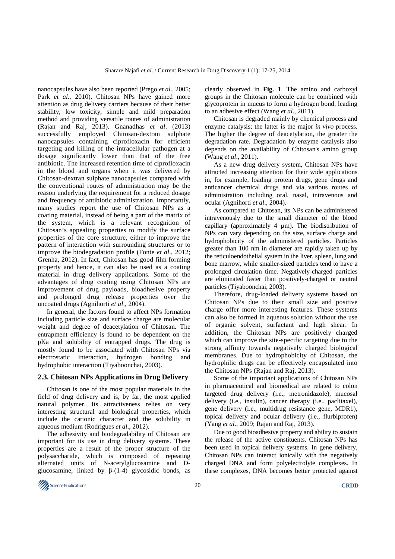nanocapsules have also been reported (Prego *et al*., 2005; Park *et al*., 2010). Chitosan NPs have gained more attention as drug delivery carriers because of their better stability, low toxicity, simple and mild preparation method and providing versatile routes of administration (Rajan and Raj, 2013). Gnanadhas *et al*. (2013) successfully employed Chitosan-dextran sulphate nanocapsules containing ciprofloxacin for efficient targeting and killing of the intracellular pathogen at a dosage significantly lower than that of the free antibiotic. The increased retention time of ciprofloxacin in the blood and organs when it was delivered by Chitosan-dextran sulphate nanocapsules compared with the conventional routes of administration may be the reason underlying the requirement for a reduced dosage and frequency of antibiotic administration. Importantly, many studies report the use of Chitosan NPs as a coating material, instead of being a part of the matrix of the system, which is a relevant recognition of Chitosan's appealing properties to modify the surface properties of the core structure, either to improve the pattern of interaction with surrounding structures or to improve the biodegradation profile (Fonte *et al*., 2012; Grenha, 2012). In fact, Chitosan has good film forming property and hence, it can also be used as a coating material in drug delivery applications. Some of the advantages of drug coating using Chitosan NPs are improvement of drug payloads, bioadhesive property and prolonged drug release properties over the uncoated drugs (Agnihorti *et al*., 2004).

In general, the factors found to affect NPs formation including particle size and surface charge are molecular weight and degree of deacetylation of Chitosan. The entrapment efficiency is found to be dependent on the pKa and solubility of entrapped drugs. The drug is mostly found to be associated with Chitosan NPs via electrostatic interaction, hydrogen bonding and hydrophobic interaction (Tiyaboonchai, 2003).

#### **2.3. Chitosan NPs Applications in Drug Delivery**

Chitosan is one of the most popular materials in the field of drug delivery and is, by far, the most applied natural polymer. Its attractiveness relies on very interesting structural and biological properties, which include the cationic character and the solubility in aqueous medium (Rodrigues *et al*., 2012).

The adhesivity and biodegradability of Chitosan are important for its use in drug delivery systems. These properties are a result of the proper structure of the polysaccharide, which is composed of repeating alternated units of N-acetylglucosamine and Dglucosamine, linked by  $β-(1-4)$  glycosidic bonds, as

clearly observed in **Fig. 1**. The amino and carboxyl groups in the Chitosan molecule can be combined with glycoprotein in mucus to form a hydrogen bond, leading to an adhesive effect (Wang *et al*., 2011).

Chitosan is degraded mainly by chemical process and enzyme catalysis; the latter is the major *in vivo* process. The higher the degree of deacetylation, the greater the degradation rate. Degradation by enzyme catalysis also depends on the availability of Chitosan's amino group (Wang *et al*., 2011).

As a new drug delivery system, Chitosan NPs have attracted increasing attention for their wide applications in, for example, loading protein drugs, gene drugs and anticancer chemical drugs and via various routes of administration including oral, nasal, intravenous and ocular (Agnihorti *et al*., 2004).

As compared to Chitosan, its NPs can be administered intravenously due to the small diameter of the blood capillary (approximately 4 µm). The biodistribution of NPs can vary depending on the size, surface charge and hydrophobicity of the administered particles. Particles greater than 100 nm in diameter are rapidly taken up by the reticuloendothelial system in the liver, spleen, lung and bone marrow, while smaller-sized particles tend to have a prolonged circulation time. Negatively-charged particles are eliminated faster than positively-charged or neutral particles (Tiyaboonchai, 2003).

Therefore, drug-loaded delivery systems based on Chitosan NPs due to their small size and positive charge offer more interesting features. These systems can also be formed in aqueous solution without the use of organic solvent, surfactant and high shear. In addition, the Chitosan NPs are positively charged which can improve the site-specific targeting due to the strong affinity towards negatively charged biological membranes. Due to hydrophobicity of Chitosan, the hydrophilic drugs can be effectively encapsulated into the Chitosan NPs (Rajan and Raj, 2013).

Some of the important applications of Chitosan NPs in pharmaceutical and biomedical are related to colon targeted drug delivery (i.e., metronidazole), mucosal delivery (i.e., insulin), cancer therapy (i.e., paclitaxel), gene delivery (i.e., multidrug resistance gene, MDR1), topical delivery and ocular delivery (i.e., flurbiprofen) (Yang *et al*., 2009; Rajan and Raj, 2013).

Due to good bioadhesive property and ability to sustain the release of the active constituents, Chitosan NPs has been used in topical delivery systems. In gene delivery, Chitosan NPs can interact ionically with the negatively charged DNA and form polyelectrolyte complexes. In these complexes, DNA becomes better protected against

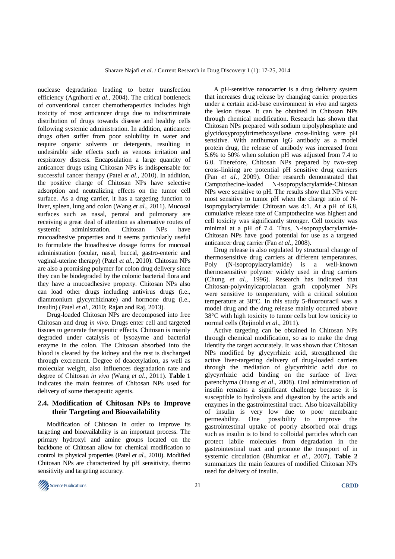nuclease degradation leading to better transfection efficiency (Agnihorti *et al*., 2004). The critical bottleneck of conventional cancer chemotherapeutics includes high toxicity of most anticancer drugs due to indiscriminate distribution of drugs towards disease and healthy cells following systemic administration. In addition, anticancer drugs often suffer from poor solubility in water and require organic solvents or detergents, resulting in undesirable side effects such as venous irritation and respiratory distress. Encapsulation a large quantity of anticancer drugs using Chitosan NPs is indispensable for successful cancer therapy (Patel *et al*., 2010). In addition, the positive charge of Chitosan NPs have selective adsorption and neutralizing effects on the tumor cell surface. As a drug carrier, it has a targeting function to liver, spleen, lung and colon (Wang *et al*., 2011). Mucosal surfaces such as nasal, peroral and pulmonary are receiving a great deal of attention as alternative routes of systemic administration. Chitosan NPs have mucoadhesive properties and it seems particularly useful to formulate the bioadhesive dosage forms for mucosal administration (ocular, nasal, buccal, gastro-enteric and vaginal-uterine therapy) (Patel *et al*., 2010). Chitosan NPs are also a promising polymer for colon drug delivery since they can be biodegraded by the colonic bacterial flora and they have a mucoadhesive property. Chitosan NPs also can load other drugs including antivirus drugs (i.e., diammonium glycyrrhizinate) and hormone drug (i.e., insulin) (Patel *et al*., 2010; Rajan and Raj, 2013).

Drug-loaded Chitosan NPs are decomposed into free Chitosan and drug *in vivo*. Drugs enter cell and targeted tissues to generate therapeutic effects. Chitosan is mainly degraded under catalysis of lysozyme and bacterial enzyme in the colon. The Chitosan absorbed into the blood is cleared by the kidney and the rest is discharged through excrement. Degree of deacetylation, as well as molecular weight, also influences degradation rate and degree of Chitosan *in vivo* (Wang *et al*., 2011). **Table 1** indicates the main features of Chitosan NPs used for delivery of some therapeutic agents.

#### **2.4. Modification of Chitosan NPs to Improve their Targeting and Bioavailability**

Modification of Chitosan in order to improve its targeting and bioavailability is an important process. The primary hydroxyl and amine groups located on the backbone of Chitosan allow for chemical modification to control its physical properties (Patel *et al*., 2010). Modified Chitosan NPs are characterized by pH sensitivity, thermo sensitivity and targeting accuracy.

A pH-sensitive nanocarrier is a drug delivery system that increases drug release by changing carrier properties under a certain acid-base environment *in vivo* and targets the lesion tissue. It can be obtained in Chitosan NPs through chemical modification. Research has shown that Chitosan NPs prepared with sodium tripolyphosphate and glycidoxypropyltrimethoxysilane cross-linking were pH sensitive. With antihuman IgG antibody as a model protein drug, the release of antibody was increased from 5.6% to 50% when solution pH was adjusted from 7.4 to 6.0. Therefore, Chitosan NPs prepared by two-step cross-linking are potential pH sensitive drug carriers (Pan *et al*., 2009). Other research demonstrated that Camptothecine-loaded N-isopropylacrylamide-Chitosan NPs were sensitive to pH. The results show that NPs were most sensitive to tumor pH when the charge ratio of Nisopropylacrylamide: Chitosan was 4:1. At a pH of 6.8, cumulative release rate of Camptothecine was highest and cell toxicity was significantly stronger. Cell toxicity was minimal at a pH of 7.4. Thus, N-isopropylacrylamide-Chitosan NPs have good potential for use as a targeted anticancer drug carrier (Fan *et al*., 2008).

Drug release is also regulated by structural change of thermosensitive drug carriers at different temperatures. Poly (N-isopropylacrylamide) is a well-known thermosensitive polymer widely used in drug carriers (Chung *et al*., 1996). Research has indicated that Chitosan-polyvinylcaprolactan graft copolymer NPs were sensitive to temperature, with a critical solution temperature at 38°C. In this study 5-fluorouracil was a model drug and the drug release mainly occurred above 38°C with high toxicity to tumor cells but low toxicity to normal cells (Rejinold *et al*., 2011).

Active targeting can be obtained in Chitosan NPs through chemical modification, so as to make the drug identify the target accurately. It was shown that Chitosan NPs modified by glycyrrhizic acid, strengthened the active liver-targeting delivery of drug-loaded carriers through the mediation of glycyrrhizic acid due to glycyrrhizic acid binding on the surface of liver parenchyma (Huang *et al*., 2008). Oral administration of insulin remains a significant challenge because it is susceptible to hydrolysis and digestion by the acids and enzymes in the gastrointestinal tract. Also bioavailability of insulin is very low due to poor membrane permeability. One possibility to improve the gastrointestinal uptake of poorly absorbed oral drugs such as insulin is to bind to colloidal particles which can protect labile molecules from degradation in the gastrointestinal tract and promote the transport of in systemic circulation (Bhumkar *et al*., 2007). **Table 2** summarizes the main features of modified Chitosan NPs used for delivery of insulin.

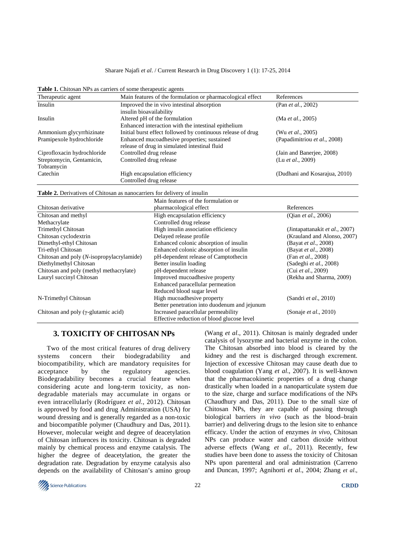#### Sharare Najafi *et al*. / Current Research in Drug Discovery 1 (1): 17-25, 2014

| Therapeutic agent                                                        |                                               | Main features of the formulation or pharmacological effect  | References                     |
|--------------------------------------------------------------------------|-----------------------------------------------|-------------------------------------------------------------|--------------------------------|
| Insulin                                                                  | Improved the in vivo intestinal absorption    |                                                             | (Pan et al., 2002)             |
|                                                                          | insulin bioavailability                       |                                                             |                                |
| Insulin                                                                  |                                               | Altered pH of the formulation                               | (Ma et al., 2005)              |
|                                                                          |                                               | Enhanced interaction with the intestinal epithelium         |                                |
| Ammonium glycyrrhizinate                                                 |                                               | Initial burst effect followed by continuous release of drug | (Wu <i>et al.</i> , 2005)      |
| Pramipexole hydrochloride                                                | Enhanced mucoadhesive properties; sustained   |                                                             | (Papadimitriou et al., 2008)   |
|                                                                          | release of drug in simulated intestinal fluid |                                                             |                                |
| Ciprofloxacin hydrochloride                                              |                                               | Controlled drug release                                     | (Jain and Banerjee, 2008)      |
| Streptomycin, Gentamicin,                                                |                                               | Controlled drug release                                     | (Lu et al., 2009)              |
| Tobramycin                                                               |                                               |                                                             |                                |
| Catechin                                                                 | High encapsulation efficiency                 |                                                             | (Dudhani and Kosarajua, 2010)  |
|                                                                          |                                               | Controlled drug release                                     |                                |
| Table 2. Derivatives of Chitosan as nanocarriers for delivery of insulin |                                               |                                                             |                                |
|                                                                          |                                               | Main features of the formulation or                         |                                |
| Chitosan derivative                                                      |                                               | pharmacological effect                                      | References                     |
|                                                                          |                                               |                                                             |                                |
| Chitosan and methyl                                                      |                                               | High encapsulation efficiency                               | (Qian <i>et al.</i> , 2006)    |
| Methacrylate                                                             |                                               | Controlled drug release                                     |                                |
| Trimethyl Chitosan                                                       |                                               | High insulin association efficiency                         | (Jintapattanakit et al., 2007) |
| Chitosan cyclodextrin                                                    |                                               | Delayed release profile                                     | (Krauland and Alonso, 2007)    |
| Dimethyl-ethyl Chitosan                                                  |                                               | Enhanced colonic absorption of insulin                      | (Bayat et al., 2008)           |
| Tri-ethyl Chitosan                                                       |                                               | Enhanced colonic absorption of insulin                      | (Bayat et al., 2008)           |
| Chitosan and poly (N-isopropylacrylamide)                                |                                               | pH-dependent release of Camptothecin                        | (Fan et al., 2008)             |
| Diethylmethyl Chitosan                                                   |                                               | Better insulin loading                                      | (Sadeghi et al., 2008)         |
| Chitosan and poly (methyl methacrylate)                                  |                                               | pH-dependent release                                        | (Cui et al., 2009)             |
| Lauryl succinyl Chitosan                                                 |                                               | Improved mucoadhesive property                              | (Rekha and Sharma, 2009)       |
|                                                                          |                                               | Enhanced paracellular permeation                            |                                |
|                                                                          |                                               | Reduced blood sugar level                                   |                                |
| N-Trimethyl Chitosan                                                     |                                               | High mucoadhesive property                                  | (Sandri et al., 2010)          |
|                                                                          |                                               | Better penetration into duodenum and jejunum                |                                |
| Chitosan and poly ( $\gamma$ -glutamic acid)                             |                                               | Increased paracellular permeability                         | (Sonaje et al., 2010)          |
|                                                                          |                                               | Effective reduction of blood glucose level                  |                                |

**Table 1.** Chitosan NPs as carriers of some therapeutic agents

#### **3. TOXICITY OF CHITOSAN NPs**

Two of the most critical features of drug delivery systems concern their biodegradability and biocompatibility, which are mandatory requisites for acceptance by the regulatory agencies. Biodegradability becomes a crucial feature when considering acute and long-term toxicity, as nondegradable materials may accumulate in organs or even intracellularly (Rodríguez *et al*., 2012). Chitosan is approved by food and drug Administration (USA) for wound dressing and is generally regarded as a non-toxic and biocompatible polymer (Chaudhury and Das, 2011). However, molecular weight and degree of deacetylation of Chitosan influences its toxicity. Chitosan is degraded mainly by chemical process and enzyme catalysis. The higher the degree of deacetylation, the greater the degradation rate. Degradation by enzyme catalysis also depends on the availability of Chitosan's amino group (Wang *et al*., 2011). Chitosan is mainly degraded under catalysis of lysozyme and bacterial enzyme in the colon. The Chitosan absorbed into blood is cleared by the kidney and the rest is discharged through excrement. Injection of excessive Chitosan may cause death due to blood coagulation (Yang *et al*., 2007). It is well-known that the pharmacokinetic properties of a drug change drastically when loaded in a nanoparticulate system due to the size, charge and surface modifications of the NPs (Chaudhury and Das, 2011). Due to the small size of Chitosan NPs, they are capable of passing through biological barriers *in vivo* (such as the blood–brain barrier) and delivering drugs to the lesion site to enhance efficacy. Under the action of enzymes *in vivo*, Chitosan NPs can produce water and carbon dioxide without adverse effects (Wang *et al*., 2011). Recently, few studies have been done to assess the toxicity of Chitosan NPs upon parenteral and oral administration (Carreno and Duncan, 1997; Agnihorti *et al*., 2004; Zhang *et al*.,

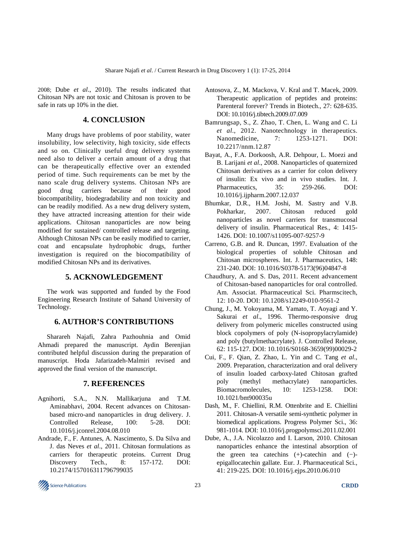2008; Dube *et al*., 2010). The results indicated that Chitosan NPs are not toxic and Chitosan is proven to be safe in rats up 10% in the diet.

#### **4. CONCLUSION**

Many drugs have problems of poor stability, water insolubility, low selectivity, high toxicity, side effects and so on. Clinically useful drug delivery systems need also to deliver a certain amount of a drug that can be therapeutically effective over an extended period of time. Such requirements can be met by the nano scale drug delivery systems. Chitosan NPs are good drug carriers because of their good biocompatibility, biodegradability and non toxicity and can be readily modified. As a new drug delivery system, they have attracted increasing attention for their wide applications. Chitosan nanoparticles are now being modified for sustained/ controlled release and targeting. Although Chitosan NPs can be easily modified to carrier, coat and encapsulate hydrophobic drugs, further investigation is required on the biocompatibility of modified Chitosan NPs and its derivatives.

#### **5. ACKNOWLEDGEMENT**

The work was supported and funded by the Food Engineering Research Institute of Sahand University of Technology.

#### **6. AUTHOR'S CONTRIBUTIONS**

Sharareh Najafi, Zahra Pazhouhnia and Omid Ahmadi prepared the manuscript. Aydin Berenjian contributed helpful discussion during the preparation of manuscript. Hoda Jafarizadeh-Malmiri revised and approved the final version of the manuscript.

# **7. REFERENCES**

- Agnihorti, S.A., N.N. Mallikarjuna and T.M. Aminabhavi, 2004. Recent advances on Chitosanbased micro-and nanoparticles in drug delivery. J. Controlled Release, 100: 5-28. DOI: 10.1016/j.jconrel.2004.08.010
- Andrade, F., F. Antunes, A. Nascimento, S. Da Silva and J. das Neves *et al*., 2011. Chitosan formulations as carriers for therapeutic proteins. Current Drug Discovery Tech., 8: 157-172. DOI: 10.2174/157016311796799035
- Antosova, Z., M. Mackova, V. Kral and T. Macek, 2009. Therapeutic application of peptides and proteins: Parenteral forever? Trends in Biotech., 27: 628-635. DOI: 10.1016/j.tibtech.2009.07.009
- Bamrungsap, S., Z. Zhao, T. Chen, L. Wang and C. Li *et al*., 2012. Nanotechnology in therapeutics. Nanomedicine, 7: 1253-1271. DOI: 10.2217/nnm.12.87
- Bayat, A., F.A. Dorkoosh, A.R. Dehpour, L. Moezi and B. Larijani *et al*., 2008. Nanoparticles of quaternized Chitosan derivatives as a carrier for colon delivery of insulin: Ex vivo and in vivo studies. Int. J. Pharmaceutics, 35: 259-266. DOI: 10.1016/j.ijpharm.2007.12.037
- Bhumkar, D.R., H.M. Joshi, M. Sastry and V.B. Pokharkar, 2007. Chitosan reduced gold nanoparticles as novel carriers for transmucosal delivery of insulin. Pharmaceutical Res., 4: 1415- 1426. DOI: 10.1007/s11095-007-9257-9
- Carreno, G.B. and R. Duncan, 1997. Evaluation of the biological properties of soluble Chitosan and Chitosan microspheres. Int. J. Pharmaceutics, 148: 231-240. DOI: 10.1016/S0378-5173(96)04847-8
- Chaudhury, A. and S. Das, 2011. Recent advancement of Chitosan-based nanoparticles for oral controlled. Am. Associat. Pharmaceutical Sci. Pharmscitech, 12: 10-20. DOI: 10.1208/s12249-010-9561-2
- Chung, J., M. Yokoyama, M. Yamato, T. Aoyagi and Y. Sakurai *et al*., 1996. Thermo-responsive drug delivery from polymeric micelles constructed using block copolymers of poly (N-isopropylacrylamide) and poly (butylmethacrylate). J. Controlled Release, 62: 115-127. DOI: 10.1016/S0168-3659(99)00029-2
- Cui, F., F. Qian, Z. Zhao, L. Yin and C. Tang *et al*., 2009. Preparation, characterization and oral delivery of insulin loaded carboxy-lated Chitosan grafted poly (methyl methacrylate) nanoparticles. Biomacromolecules, 10: 1253-1258. DOI: 10.1021/bm900035u
- Dash, M., F. Chiellini, R.M. Ottenbrite and E. Chiellini 2011. Chitosan-A versatile semi-synthetic polymer in biomedical applications. Progress Polymer Sci., 36: 981-1014. DOI: 10.1016/j.progpolymsci.2011.02.001
- Dube, A., J.A. Nicolazzo and I. Larson, 2010. Chitosan nanoparticles enhance the intestinal absorption of the green tea catechins (+)-catechin and (−) epigallocatechin gallate. Eur. J. Pharmaceutical Sci., 41: 219-225. DOI: 10.1016/j.ejps.2010.06.010

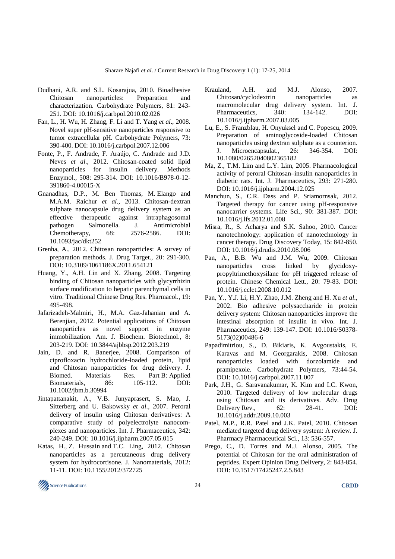- Dudhani, A.R. and S.L. Kosarajua, 2010. Bioadhesive Chitosan nanoparticles: Preparation and characterization. Carbohydrate Polymers, 81: 243- 251. DOI: 10.1016/j.carbpol.2010.02.026
- Fan, L., H. Wu, H. Zhang, F. Li and T. Yang *et al*., 2008. Novel super pH-sensitive nanoparticles responsive to tumor extracellular pH. Carbohydrate Polymers, 73: 390-400. DOI: 10.1016/j.carbpol.2007.12.006
- Fonte, P., F. Andrade, F. Araújo, C. Andrade and J.D. Neves *et al*., 2012. Chitosan-coated solid lipid nanoparticles for insulin delivery. Methods Enzymol., 508: 295-314. DOI: 10.1016/B978-0-12- 391860-4.00015-X
- Gnanadhas, D.P., M. Ben Thomas, M. Elango and M.A.M. Raichur *et al*., 2013. Chitosan-dextran sulphate nanocapsule drug delivery system as an effective therapeutic against intraphagosomal pathogen Salmonella. J. Antimicrobial Chemotherapy, 68: 2576-2586. DOI: 10.1093/jac/dkt252
- Grenha, A., 2012. Chitosan nanoparticles: A survey of preparation methods. J. Drug Target., 20: 291-300. DOI: 10.3109/1061186X.2011.654121
- Huang, Y., A.H. Lin and X. Zhang, 2008. Targeting binding of Chitosan nanoparticles with glycyrrhizin surface modification to hepatic parenchymal cells in vitro. Traditional Chinese Drug Res. Pharmacol., 19: 495-498.
- Jafarizadeh-Malmiri, H., M.A. Gaz-Jahanian and A. Berenjian, 2012. Potential applications of Chitosan nanoparticles as novel support in enzyme immobilization. Am. J. Biochem. Biotechnol., 8: 203-219. DOI: 10.3844/ajbbsp.2012.203.219
- Jain, D. and R. Banerjee, 2008. Comparison of ciprofloxacin hydrochloride-loaded protein, lipid and Chitosan nanoparticles for drug delivery. J. Biomed. Materials Res. Part B: Applied Biomaterials, 86: 105-112. DOI: 10.1002/jbm.b.30994
- Jintapattanakit, A., V.B. Junyaprasert, S. Mao, J. Sitterberg and U. Bakowsky *et al*., 2007. Peroral delivery of insulin using Chitosan derivatives: A comparative study of polyelectrolyte nanocomplexes and nanoparticles. Int. J. Pharmaceutics, 342: 240-249. DOI: 10.1016/j.ijpharm.2007.05.015
- Katas, H., Z. Hussain and T.C. Ling, 2012. Chitosan nanoparticles as a percutaneous drug delivery system for hydrocortisone. J. Nanomaterials, 2012: 11-11. DOI: 10.1155/2012/372725
- Krauland, A.H. and M.J. Alonso, 2007. Chitosan/cyclodextrin nanoparticles as macromolecular drug delivery system. Int. J. Pharmaceutics, 340: 134-142. DOI: 10.1016/j.ijpharm.2007.03.005
- Lu, E., S. Franzblau, H. Onyuksel and C. Popescu, 2009. Preparation of aminoglycoside-loaded Chitosan nanoparticles using dextran sulphate as a counterion. J. Microencapsulat., 26: 346-354. DOI: 10.1080/02652040802365182
- Ma, Z., T.M. Lim and L.Y. Lim, 2005. Pharmacological activity of peroral Chitosan–insulin nanoparticles in diabetic rats. Int. J. Pharmaceutics, 293: 271-280. DOI: 10.1016/j.ijpharm.2004.12.025
- Manchun, S., C.R. Dass and P. Sriamornsak, 2012. Targeted therapy for cancer using pH-responsive nanocarrier systems. Life Sci., 90: 381-387. DOI: 10.1016/j.lfs.2012.01.008
- Misra, R., S. Acharya and S.K. Sahoo, 2010. Cancer nanotechnology: application of nanotechnology in cancer therapy. Drug Discovery Today, 15: 842-850. DOI: 10.1016/j.drudis.2010.08.006
- Pan, A., B.B. Wu and J.M. Wu, 2009. Chitosan nanoparticles cross linked by glycidoxypropyltrimethoxysilane for pH triggered release of protein. Chinese Chemical Lett., 20: 79-83. DOI: 10.1016/j.cclet.2008.10.012
- Pan, Y., Y.J. Li, H.Y. Zhao, J.M. Zheng and H. Xu *et al*., 2002. Bio adhesive polysaccharide in protein delivery system: Chitosan nanoparticles improve the intestinal absorption of insulin in vivo. Int. J. Pharmaceutics, 249: 139-147. DOI: 10.1016/S0378- 5173(02)00486-6
- Papadimitriou, S., D. Bikiaris, K. Avgoustakis, E. Karavas and M. Georgarakis, 2008. Chitosan nanoparticles loaded with dorzolamide and pramipexole. Carbohydrate Polymers, 73:44-54. DOI: 10.1016/j.carbpol.2007.11.007
- Park, J.H., G. Saravanakumar, K. Kim and I.C. Kwon, 2010. Targeted delivery of low molecular drugs using Chitosan and its derivatives. Adv. Drug Delivery Rev., 62: 28-41. DOI: 10.1016/j.addr.2009.10.003
- Patel, M.P., R.R. Patel and J.K. Patel, 2010. Chitosan mediated targeted drug delivery system: A review. J. Pharmacy Pharmaceutical Sci., 13: 536-557.
- Prego, C., D. Torres and M.J. Alonso, 2005. The potential of Chitosan for the oral administration of peptides. Expert Opinion Drug Delivery, 2: 843-854. DOI: 10.1517/17425247.2.5.843